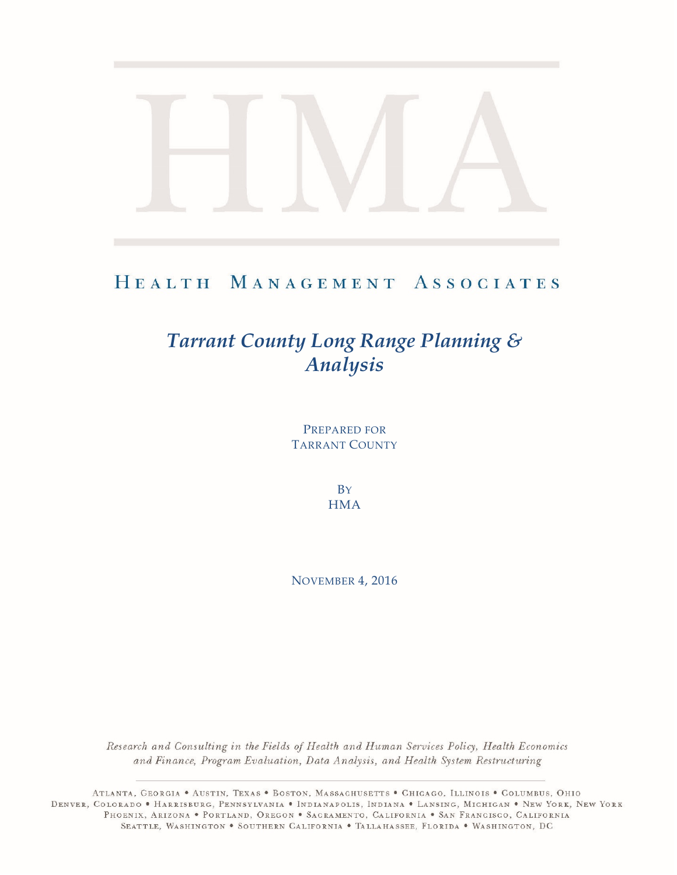## HEALTH MANAGEMENT ASSOCIATES

# *Tarrant County Long Range Planning & Analysis*

PREPARED FOR TARRANT COUNTY

> **B**Y **HMA**

NOVEMBER 4, 2016

Research and Consulting in the Fields of Health and Human Services Policy, Health Economics and Finance, Program Evaluation, Data Analysis, and Health System Restructuring

ATLANTA, GEORGIA . AUSTIN, TEXAS . BOSTON, MASSACHUSETTS . CHICAGO, ILLINOIS . COLUMBUS, OHIO DENVER, COLORADO • HARRISBURG, PENNSYLVANIA • INDIANAPOLIS, INDIANA • LANSING, MICHIGAN • NEW YORK, NEW YORK PHOENIX, ARIZONA . PORTLAND, OREGON . SACRAMENTO, CALIFORNIA . SAN FRANCISCO, CALIFORNIA SEATTLE, WASHINGTON . SOUTHERN CALIFORNIA . TALLAHASSEE, FLORIDA . WASHINGTON, DC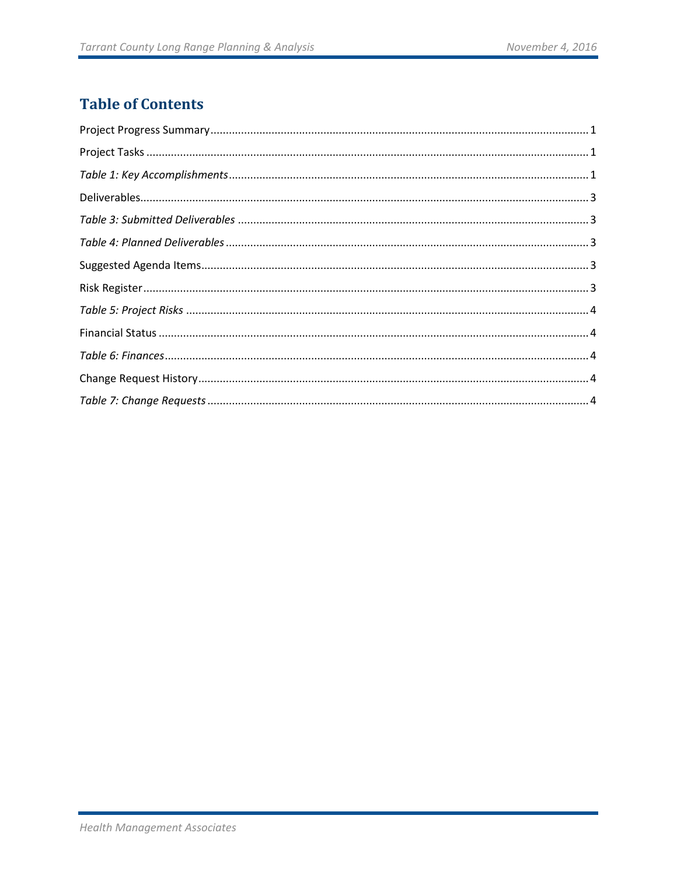## **Table of Contents**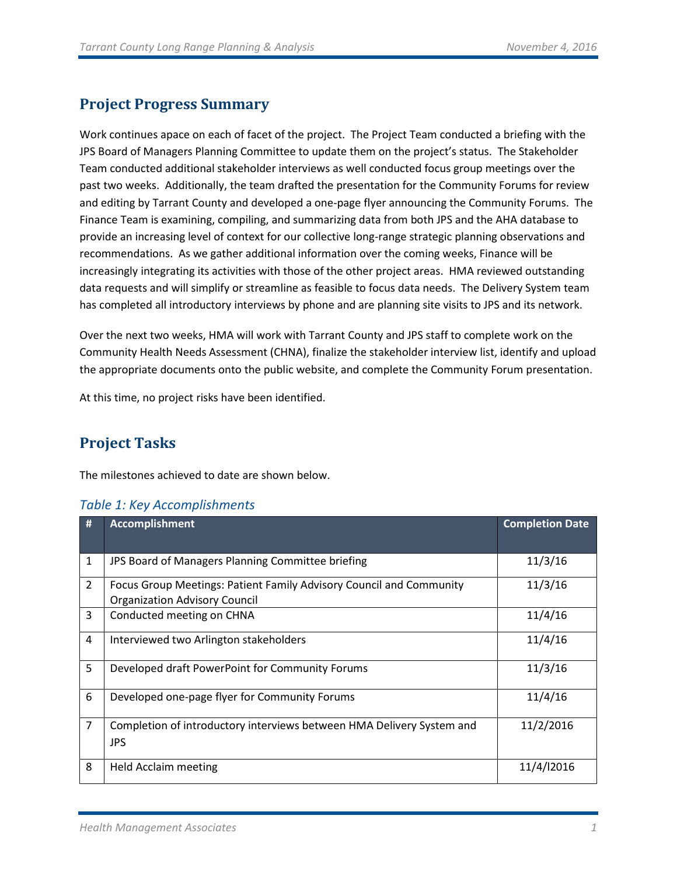## <span id="page-2-0"></span>**Project Progress Summary**

Work continues apace on each of facet of the project. The Project Team conducted a briefing with the JPS Board of Managers Planning Committee to update them on the project's status. The Stakeholder Team conducted additional stakeholder interviews as well conducted focus group meetings over the past two weeks. Additionally, the team drafted the presentation for the Community Forums for review and editing by Tarrant County and developed a one-page flyer announcing the Community Forums. The Finance Team is examining, compiling, and summarizing data from both JPS and the AHA database to provide an increasing level of context for our collective long-range strategic planning observations and recommendations. As we gather additional information over the coming weeks, Finance will be increasingly integrating its activities with those of the other project areas. HMA reviewed outstanding data requests and will simplify or streamline as feasible to focus data needs. The Delivery System team has completed all introductory interviews by phone and are planning site visits to JPS and its network.

Over the next two weeks, HMA will work with Tarrant County and JPS staff to complete work on the Community Health Needs Assessment (CHNA), finalize the stakeholder interview list, identify and upload the appropriate documents onto the public website, and complete the Community Forum presentation.

<span id="page-2-1"></span>At this time, no project risks have been identified.

## **Project Tasks**

The milestones achieved to date are shown below.

| #              | <b>Accomplishment</b>                                                                                       | <b>Completion Date</b> |
|----------------|-------------------------------------------------------------------------------------------------------------|------------------------|
| $\mathbf{1}$   | JPS Board of Managers Planning Committee briefing                                                           | 11/3/16                |
| $\overline{2}$ | Focus Group Meetings: Patient Family Advisory Council and Community<br><b>Organization Advisory Council</b> | 11/3/16                |
| 3              | Conducted meeting on CHNA                                                                                   | 11/4/16                |
| 4              | Interviewed two Arlington stakeholders                                                                      | 11/4/16                |
| 5              | Developed draft PowerPoint for Community Forums                                                             | 11/3/16                |
| 6              | Developed one-page flyer for Community Forums                                                               | 11/4/16                |
| $\overline{7}$ | Completion of introductory interviews between HMA Delivery System and<br><b>JPS</b>                         | 11/2/2016              |
| 8              | Held Acclaim meeting                                                                                        | 11/4/12016             |

#### <span id="page-2-2"></span>*Table 1: Key Accomplishments*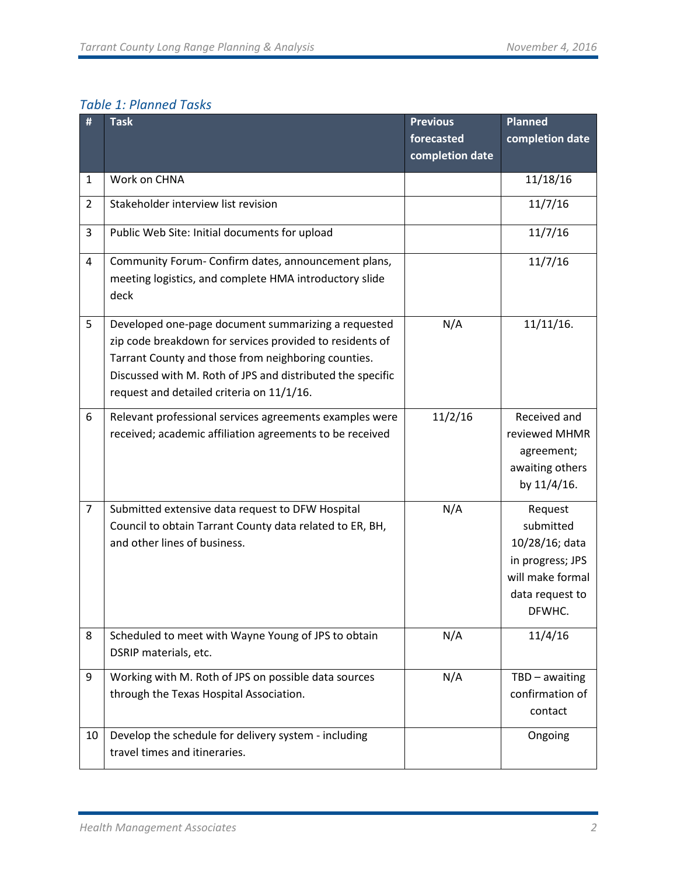## *Table 1: Planned Tasks*

| #              | <b>Task</b>                                                                                                                                                                                                                                                                       | <b>Previous</b> | <b>Planned</b>                                                                                              |
|----------------|-----------------------------------------------------------------------------------------------------------------------------------------------------------------------------------------------------------------------------------------------------------------------------------|-----------------|-------------------------------------------------------------------------------------------------------------|
|                |                                                                                                                                                                                                                                                                                   | forecasted      | completion date                                                                                             |
|                |                                                                                                                                                                                                                                                                                   | completion date |                                                                                                             |
| 1              | Work on CHNA                                                                                                                                                                                                                                                                      |                 | 11/18/16                                                                                                    |
| $\overline{2}$ | Stakeholder interview list revision                                                                                                                                                                                                                                               |                 | 11/7/16                                                                                                     |
| 3              | Public Web Site: Initial documents for upload                                                                                                                                                                                                                                     |                 | 11/7/16                                                                                                     |
| 4              | Community Forum- Confirm dates, announcement plans,<br>meeting logistics, and complete HMA introductory slide<br>deck                                                                                                                                                             |                 | 11/7/16                                                                                                     |
| 5              | Developed one-page document summarizing a requested<br>zip code breakdown for services provided to residents of<br>Tarrant County and those from neighboring counties.<br>Discussed with M. Roth of JPS and distributed the specific<br>request and detailed criteria on 11/1/16. | N/A             | $11/11/16$ .                                                                                                |
| 6              | Relevant professional services agreements examples were<br>received; academic affiliation agreements to be received                                                                                                                                                               | 11/2/16         | Received and<br>reviewed MHMR<br>agreement;<br>awaiting others<br>by 11/4/16.                               |
| $\overline{7}$ | Submitted extensive data request to DFW Hospital<br>Council to obtain Tarrant County data related to ER, BH,<br>and other lines of business.                                                                                                                                      | N/A             | Request<br>submitted<br>10/28/16; data<br>in progress; JPS<br>will make formal<br>data request to<br>DFWHC. |
| 8              | Scheduled to meet with Wayne Young of JPS to obtain<br>DSRIP materials, etc.                                                                                                                                                                                                      | N/A             | 11/4/16                                                                                                     |
| 9              | Working with M. Roth of JPS on possible data sources<br>through the Texas Hospital Association.                                                                                                                                                                                   | N/A             | TBD - awaiting<br>confirmation of<br>contact                                                                |
| 10             | Develop the schedule for delivery system - including<br>travel times and itineraries.                                                                                                                                                                                             |                 | Ongoing                                                                                                     |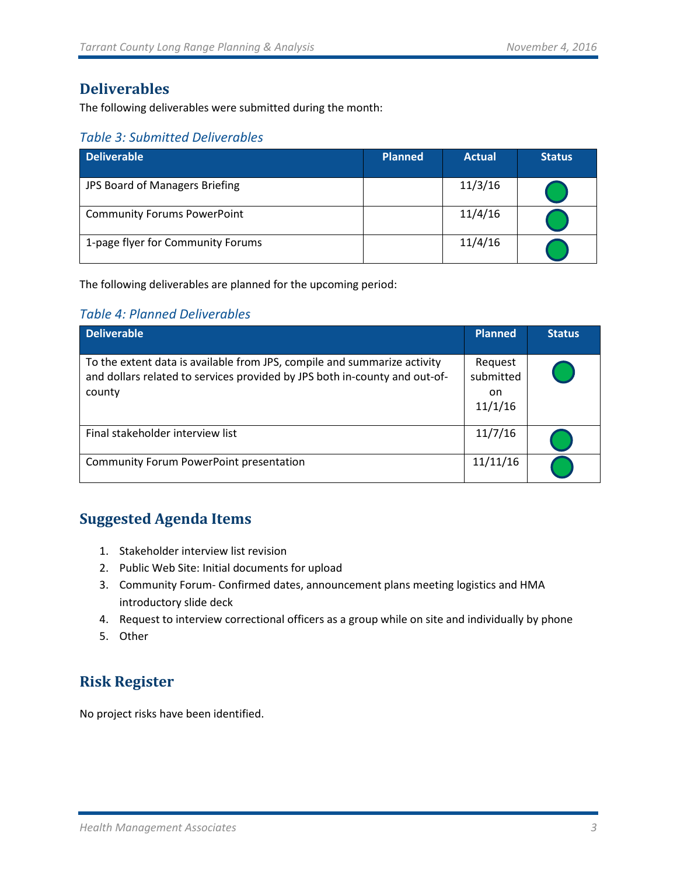### <span id="page-4-0"></span>**Deliverables**

The following deliverables were submitted during the month:

#### <span id="page-4-1"></span>*Table 3: Submitted Deliverables*

| <b>Deliverable</b>                 | <b>Planned</b> | <b>Actual</b> | <b>Status</b> |
|------------------------------------|----------------|---------------|---------------|
| JPS Board of Managers Briefing     |                | 11/3/16       |               |
| <b>Community Forums PowerPoint</b> |                | 11/4/16       |               |
| 1-page flyer for Community Forums  |                | 11/4/16       |               |

The following deliverables are planned for the upcoming period:

#### <span id="page-4-2"></span>*Table 4: Planned Deliverables*

| <b>Deliverable</b>                                                                                                                                               | <b>Planned</b>                         | <b>Status</b> |
|------------------------------------------------------------------------------------------------------------------------------------------------------------------|----------------------------------------|---------------|
| To the extent data is available from JPS, compile and summarize activity<br>and dollars related to services provided by JPS both in-county and out-of-<br>county | Request<br>submitted<br>on.<br>11/1/16 |               |
| Final stakeholder interview list                                                                                                                                 | 11/7/16                                |               |
| Community Forum PowerPoint presentation                                                                                                                          | 11/11/16                               |               |

## <span id="page-4-3"></span>**Suggested Agenda Items**

- 1. Stakeholder interview list revision
- 2. Public Web Site: Initial documents for upload
- 3. Community Forum- Confirmed dates, announcement plans meeting logistics and HMA introductory slide deck
- 4. Request to interview correctional officers as a group while on site and individually by phone
- 5. Other

## <span id="page-4-4"></span>**Risk Register**

No project risks have been identified.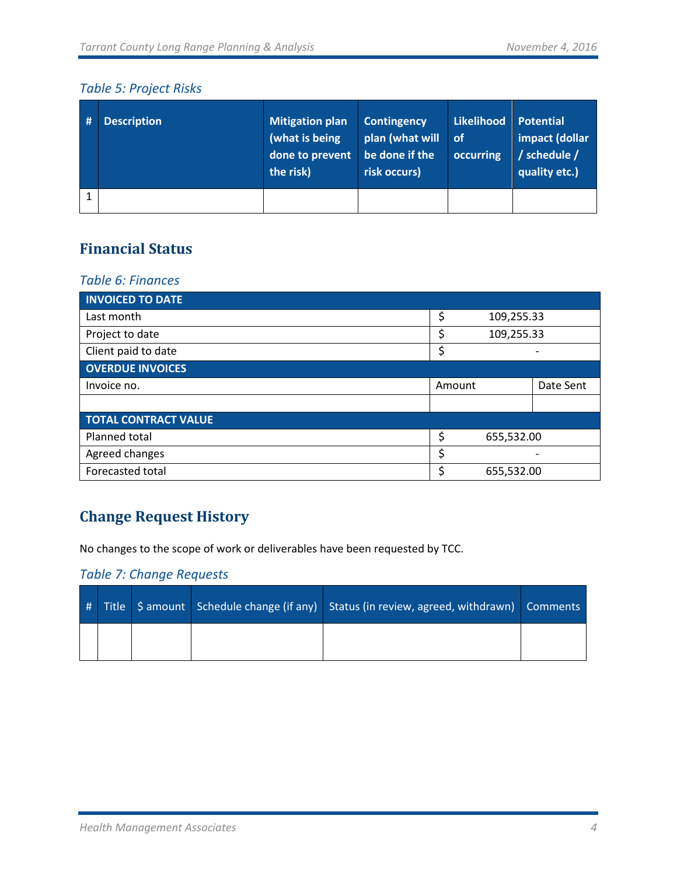#### <span id="page-5-0"></span>*Table 5: Project Risks*

| # | <b>Description</b> | <b>Mitigation plan</b><br>(what is being<br>done to prevent be done if the<br>the risk) | <b>Contingency</b><br>plan (what will<br>risk occurs) | Likelihood<br>∣ of<br>occurring | Potential<br>impact (dollar<br>/ schedule /<br>quality etc.) |
|---|--------------------|-----------------------------------------------------------------------------------------|-------------------------------------------------------|---------------------------------|--------------------------------------------------------------|
|   |                    |                                                                                         |                                                       |                                 |                                                              |

## <span id="page-5-1"></span>**Financial Status**

#### <span id="page-5-2"></span>*Table 6: Finances*

| <b>INVOICED TO DATE</b>     |                  |            |           |  |
|-----------------------------|------------------|------------|-----------|--|
| Last month                  | \$<br>109,255.33 |            |           |  |
| Project to date             | \$               | 109,255.33 |           |  |
| Client paid to date         | \$               |            |           |  |
| <b>OVERDUE INVOICES</b>     |                  |            |           |  |
| Invoice no.                 | Amount           |            | Date Sent |  |
|                             |                  |            |           |  |
| <b>TOTAL CONTRACT VALUE</b> |                  |            |           |  |
| Planned total               | \$<br>655,532.00 |            |           |  |
| Agreed changes              | \$               |            |           |  |
| Forecasted total            | \$<br>655,532.00 |            |           |  |

## <span id="page-5-3"></span>**Change Request History**

No changes to the scope of work or deliverables have been requested by TCC.

#### <span id="page-5-4"></span>*Table 7: Change Requests*

|  |  | # Title S amount Schedule change (if any) Status (in review, agreed, withdrawn) Comments |  |
|--|--|------------------------------------------------------------------------------------------|--|
|  |  |                                                                                          |  |